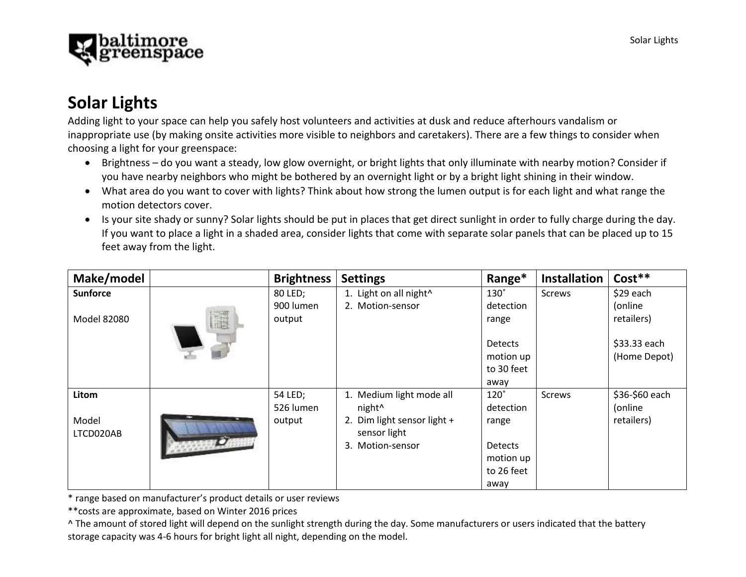

# **Solar Lights**

Adding light to your space can help you safely host volunteers and activities at dusk and reduce afterhours vandalism or inappropriate use (by making onsite activities more visible to neighbors and caretakers). There are a few things to consider when choosing a light for your greenspace:

- Brightness do you want a steady, low glow overnight, or bright lights that only illuminate with nearby motion? Consider if you have nearby neighbors who might be bothered by an overnight light or by a bright light shining in their window.
- What area do you want to cover with lights? Think about how strong the lumen output is for each light and what range the motion detectors cover.
- Is your site shady or sunny? Solar lights should be put in places that get direct sunlight in order to fully charge during the day. If you want to place a light in a shaded area, consider lights that come with separate solar panels that can be placed up to 15 feet away from the light.

| Make/model      |   | <b>Brightness</b> | <b>Settings</b>                    | Range*         | <b>Installation</b> | $Cost***$      |
|-----------------|---|-------------------|------------------------------------|----------------|---------------------|----------------|
| <b>Sunforce</b> |   | 80 LED;           | 1. Light on all night <sup>^</sup> | $130^\circ$    | <b>Screws</b>       | \$29 each      |
|                 |   | 900 lumen         | 2. Motion-sensor                   | detection      |                     | (online        |
| Model 82080     | I | output            |                                    | range          |                     | retailers)     |
|                 |   |                   |                                    |                |                     |                |
|                 |   |                   |                                    | <b>Detects</b> |                     | \$33.33 each   |
|                 |   |                   |                                    | motion up      |                     | (Home Depot)   |
|                 |   |                   |                                    | to 30 feet     |                     |                |
|                 |   |                   |                                    | away           |                     |                |
| Litom           |   | 54 LED;           | 1. Medium light mode all           | $120^\circ$    | <b>Screws</b>       | \$36-\$60 each |
|                 |   | 526 lumen         | night <sup>^</sup>                 | detection      |                     | (online        |
| Model           |   | output            | 2. Dim light sensor light +        | range          |                     | retailers)     |
| LTCD020AB       |   |                   | sensor light                       |                |                     |                |
|                 |   |                   | Motion-sensor<br>3.                | <b>Detects</b> |                     |                |
|                 |   |                   |                                    | motion up      |                     |                |
|                 |   |                   |                                    | to 26 feet     |                     |                |
|                 |   |                   |                                    | away           |                     |                |

\* range based on manufacturer's product details or user reviews

\*\*costs are approximate, based on Winter 2016 prices

^ The amount of stored light will depend on the sunlight strength during the day. Some manufacturers or users indicated that the battery storage capacity was 4-6 hours for bright light all night, depending on the model.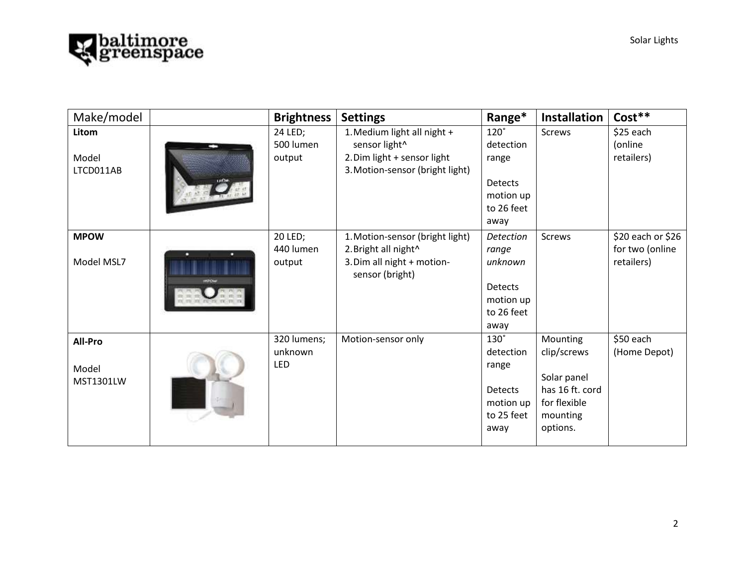

| Make/model                           | <b>Brightness</b>                    | <b>Settings</b>                                                                                                      | Range*                                                                                            | <b>Installation</b>                                                                               | Cost**                                             |
|--------------------------------------|--------------------------------------|----------------------------------------------------------------------------------------------------------------------|---------------------------------------------------------------------------------------------------|---------------------------------------------------------------------------------------------------|----------------------------------------------------|
| Litom<br>Model<br>LTCD011AB          | 24 LED;<br>500 lumen<br>output       | 1. Medium light all night +<br>sensor light^<br>2. Dim light + sensor light<br>3. Motion-sensor (bright light)       | $120^\circ$<br>detection<br>range<br><b>Detects</b><br>motion up<br>to 26 feet                    | <b>Screws</b>                                                                                     | \$25 each<br>(online<br>retailers)                 |
| <b>MPOW</b><br>Model MSL7            | 20 LED;<br>440 lumen<br>output       | 1. Motion-sensor (bright light)<br>2. Bright all night <sup>^</sup><br>3. Dim all night + motion-<br>sensor (bright) | away<br><b>Detection</b><br>range<br>unknown<br><b>Detects</b><br>motion up<br>to 26 feet<br>away | <b>Screws</b>                                                                                     | \$20 each or \$26<br>for two (online<br>retailers) |
| All-Pro<br>Model<br><b>MST1301LW</b> | 320 lumens;<br>unknown<br><b>LED</b> | Motion-sensor only                                                                                                   | $130^\circ$<br>detection<br>range<br><b>Detects</b><br>motion up<br>to 25 feet<br>away            | Mounting<br>clip/screws<br>Solar panel<br>has 16 ft. cord<br>for flexible<br>mounting<br>options. | \$50 each<br>(Home Depot)                          |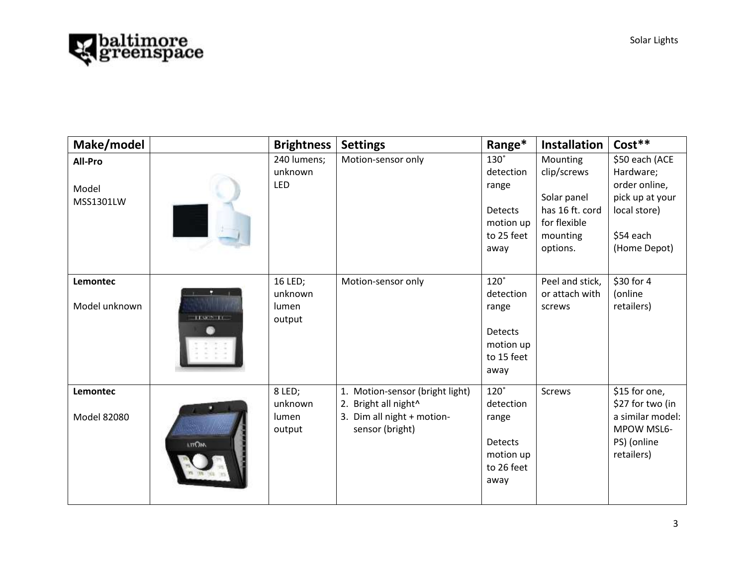

| Make/model                    |              | <b>Brightness</b>                     | <b>Settings</b>                                                                                                         | Range*                                                                                 | <b>Installation</b>                                                                               | Cost**                                                                                                       |
|-------------------------------|--------------|---------------------------------------|-------------------------------------------------------------------------------------------------------------------------|----------------------------------------------------------------------------------------|---------------------------------------------------------------------------------------------------|--------------------------------------------------------------------------------------------------------------|
| All-Pro<br>Model<br>MSS1301LW |              | 240 lumens;<br>unknown<br>LED         | Motion-sensor only                                                                                                      | $130^\circ$<br>detection<br>range<br><b>Detects</b><br>motion up<br>to 25 feet<br>away | Mounting<br>clip/screws<br>Solar panel<br>has 16 ft. cord<br>for flexible<br>mounting<br>options. | \$50 each (ACE<br>Hardware;<br>order online,<br>pick up at your<br>local store)<br>\$54 each<br>(Home Depot) |
| Lemontec<br>Model unknown     | TENOS TE     | 16 LED;<br>unknown<br>lumen<br>output | Motion-sensor only                                                                                                      | $120^\circ$<br>detection<br>range<br><b>Detects</b><br>motion up<br>to 15 feet<br>away | Peel and stick,<br>or attach with<br>screws                                                       | \$30 for 4<br>(online<br>retailers)                                                                          |
| Lemontec<br>Model 82080       | <b>LTTOW</b> | 8 LED;<br>unknown<br>lumen<br>output  | Motion-sensor (bright light)<br>1.<br>2. Bright all night <sup>^</sup><br>3. Dim all night + motion-<br>sensor (bright) | $120^\circ$<br>detection<br>range<br><b>Detects</b><br>motion up<br>to 26 feet<br>away | <b>Screws</b>                                                                                     | \$15 for one,<br>\$27 for two (in<br>a similar model:<br>MPOW MSL6-<br>PS) (online<br>retailers)             |